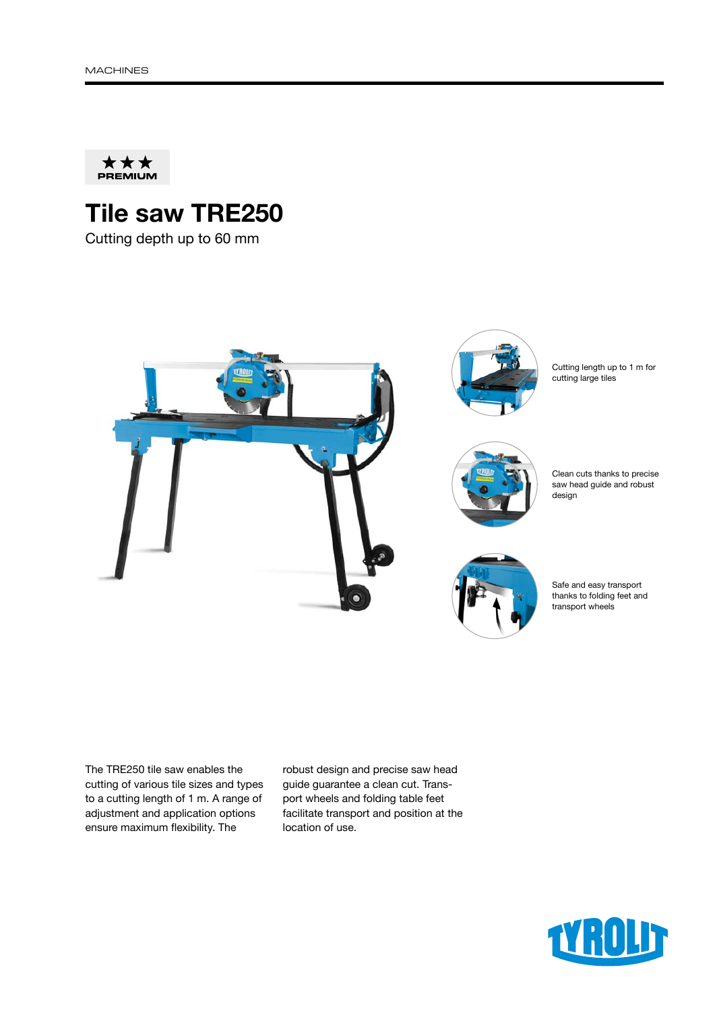

# Tile saw TRE250

Cutting depth up to 60 mm



The TRE250 tile saw enables the cutting of various tile sizes and types to a cutting length of 1 m. A range of adjustment and application options ensure maximum flexibility. The

robust design and precise saw head guide guarantee a clean cut. Transport wheels and folding table feet facilitate transport and position at the location of use.